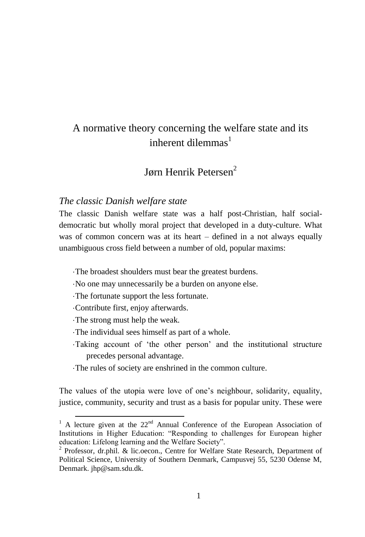# A normative theory concerning the welfare state and its inherent dilemmas $<sup>1</sup>$ </sup>

# Jørn Henrik Petersen<sup>2</sup>

## *The classic Danish welfare state*

The classic Danish welfare state was a half post-Christian, half socialdemocratic but wholly moral project that developed in a duty-culture. What was of common concern was at its heart – defined in a not always equally unambiguous cross field between a number of old, popular maxims:

- The broadest shoulders must bear the greatest burdens.
- No one may unnecessarily be a burden on anyone else.
- The fortunate support the less fortunate.
- Contribute first, enjoy afterwards.
- The strong must help the weak.

-

- The individual sees himself as part of a whole.
- Taking account of 'the other person' and the institutional structure precedes personal advantage.
- The rules of society are enshrined in the common culture.

The values of the utopia were love of one's neighbour, solidarity, equality, justice, community, security and trust as a basis for popular unity. These were

<sup>&</sup>lt;sup>1</sup> A lecture given at the  $22<sup>nd</sup>$  Annual Conference of the European Association of Institutions in Higher Education: "Responding to challenges for European higher education: Lifelong learning and the Welfare Society".

<sup>&</sup>lt;sup>2</sup> Professor, dr.phil. & lic.oecon., Centre for Welfare State Research, Department of Political Science, University of Southern Denmark, Campusvej 55, 5230 Odense M, Denmark. jhp@sam.sdu.dk.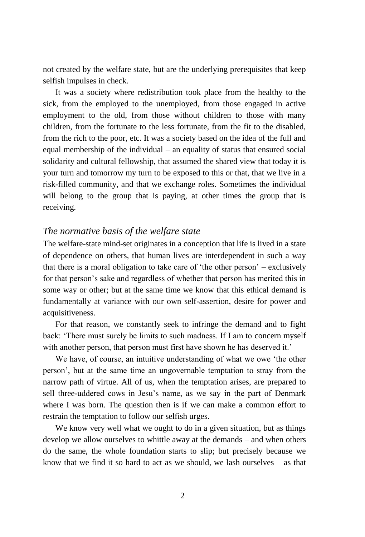not created by the welfare state, but are the underlying prerequisites that keep selfish impulses in check.

It was a society where redistribution took place from the healthy to the sick, from the employed to the unemployed, from those engaged in active employment to the old, from those without children to those with many children, from the fortunate to the less fortunate, from the fit to the disabled, from the rich to the poor, etc. It was a society based on the idea of the full and equal membership of the individual – an equality of status that ensured social solidarity and cultural fellowship, that assumed the shared view that today it is your turn and tomorrow my turn to be exposed to this or that, that we live in a risk-filled community, and that we exchange roles. Sometimes the individual will belong to the group that is paying, at other times the group that is receiving.

#### *The normative basis of the welfare state*

The welfare-state mind-set originates in a conception that life is lived in a state of dependence on others, that human lives are interdependent in such a way that there is a moral obligation to take care of 'the other person' – exclusively for that person's sake and regardless of whether that person has merited this in some way or other; but at the same time we know that this ethical demand is fundamentally at variance with our own self-assertion, desire for power and acquisitiveness.

For that reason, we constantly seek to infringe the demand and to fight back: 'There must surely be limits to such madness. If I am to concern myself with another person, that person must first have shown he has deserved it.'

We have, of course, an intuitive understanding of what we owe 'the other person', but at the same time an ungovernable temptation to stray from the narrow path of virtue. All of us, when the temptation arises, are prepared to sell three-uddered cows in Jesu's name, as we say in the part of Denmark where I was born. The question then is if we can make a common effort to restrain the temptation to follow our selfish urges.

We know very well what we ought to do in a given situation, but as things develop we allow ourselves to whittle away at the demands – and when others do the same, the whole foundation starts to slip; but precisely because we know that we find it so hard to act as we should, we lash ourselves – as that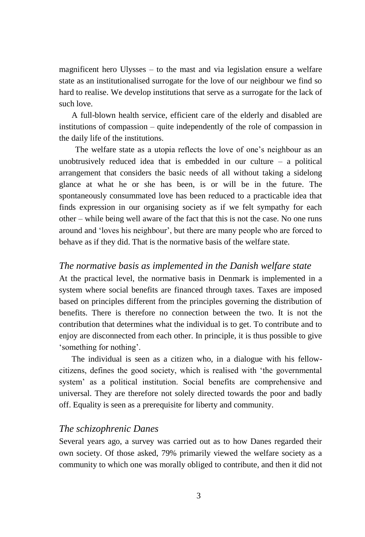magnificent hero Ulysses – to the mast and via legislation ensure a welfare state as an institutionalised surrogate for the love of our neighbour we find so hard to realise. We develop institutions that serve as a surrogate for the lack of such love.

A full-blown health service, efficient care of the elderly and disabled are institutions of compassion – quite independently of the role of compassion in the daily life of the institutions.

The welfare state as a utopia reflects the love of one's neighbour as an unobtrusively reduced idea that is embedded in our culture  $-$  a political arrangement that considers the basic needs of all without taking a sidelong glance at what he or she has been, is or will be in the future. The spontaneously consummated love has been reduced to a practicable idea that finds expression in our organising society as if we felt sympathy for each other – while being well aware of the fact that this is not the case. No one runs around and 'loves his neighbour', but there are many people who are forced to behave as if they did. That is the normative basis of the welfare state.

#### *The normative basis as implemented in the Danish welfare state*

At the practical level, the normative basis in Denmark is implemented in a system where social benefits are financed through taxes. Taxes are imposed based on principles different from the principles governing the distribution of benefits. There is therefore no connection between the two. It is not the contribution that determines what the individual is to get. To contribute and to enjoy are disconnected from each other. In principle, it is thus possible to give 'something for nothing'.

The individual is seen as a citizen who, in a dialogue with his fellowcitizens, defines the good society, which is realised with 'the governmental system' as a political institution. Social benefits are comprehensive and universal. They are therefore not solely directed towards the poor and badly off. Equality is seen as a prerequisite for liberty and community.

### *The schizophrenic Danes*

Several years ago, a survey was carried out as to how Danes regarded their own society. Of those asked, 79% primarily viewed the welfare society as a community to which one was morally obliged to contribute, and then it did not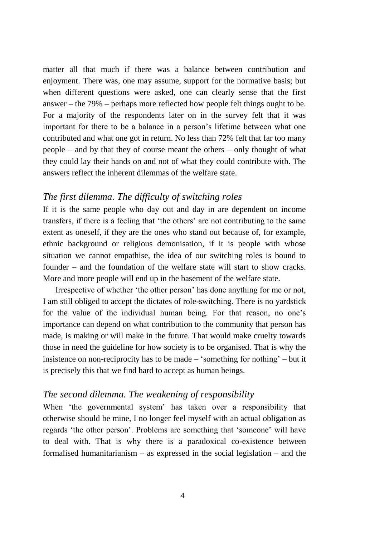matter all that much if there was a balance between contribution and enjoyment. There was, one may assume, support for the normative basis; but when different questions were asked, one can clearly sense that the first answer – the 79% – perhaps more reflected how people felt things ought to be. For a majority of the respondents later on in the survey felt that it was important for there to be a balance in a person's lifetime between what one contributed and what one got in return. No less than 72% felt that far too many people – and by that they of course meant the others – only thought of what they could lay their hands on and not of what they could contribute with. The answers reflect the inherent dilemmas of the welfare state.

## *The first dilemma. The difficulty of switching roles*

If it is the same people who day out and day in are dependent on income transfers, if there is a feeling that 'the others' are not contributing to the same extent as oneself, if they are the ones who stand out because of, for example, ethnic background or religious demonisation, if it is people with whose situation we cannot empathise, the idea of our switching roles is bound to founder – and the foundation of the welfare state will start to show cracks. More and more people will end up in the basement of the welfare state.

Irrespective of whether 'the other person' has done anything for me or not, I am still obliged to accept the dictates of role-switching. There is no yardstick for the value of the individual human being. For that reason, no one's importance can depend on what contribution to the community that person has made, is making or will make in the future. That would make cruelty towards those in need the guideline for how society is to be organised. That is why the insistence on non-reciprocity has to be made – 'something for nothing' – but it is precisely this that we find hard to accept as human beings.

## *The second dilemma. The weakening of responsibility*

When 'the governmental system' has taken over a responsibility that otherwise should be mine, I no longer feel myself with an actual obligation as regards 'the other person'. Problems are something that 'someone' will have to deal with. That is why there is a paradoxical co-existence between formalised humanitarianism – as expressed in the social legislation – and the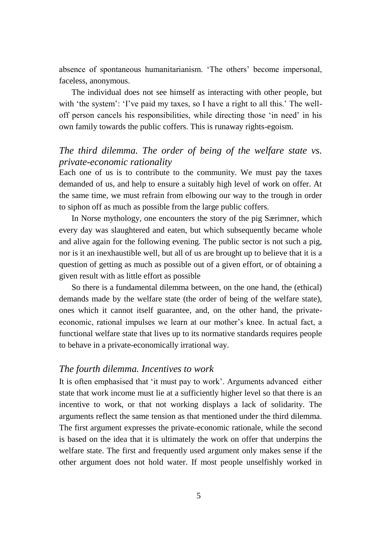absence of spontaneous humanitarianism. 'The others' become impersonal, faceless, anonymous.

The individual does not see himself as interacting with other people, but with 'the system': 'I've paid my taxes, so I have a right to all this.' The welloff person cancels his responsibilities, while directing those 'in need' in his own family towards the public coffers. This is runaway rights-egoism.

## *The third dilemma. The order of being of the welfare state vs. private-economic rationality*

Each one of us is to contribute to the community. We must pay the taxes demanded of us, and help to ensure a suitably high level of work on offer. At the same time, we must refrain from elbowing our way to the trough in order to siphon off as much as possible from the large public coffers.

In Norse mythology, one encounters the story of the pig Særimner, which every day was slaughtered and eaten, but which subsequently became whole and alive again for the following evening. The public sector is not such a pig, nor is it an inexhaustible well, but all of us are brought up to believe that it is a question of getting as much as possible out of a given effort, or of obtaining a given result with as little effort as possible

So there is a fundamental dilemma between, on the one hand, the (ethical) demands made by the welfare state (the order of being of the welfare state), ones which it cannot itself guarantee, and, on the other hand, the privateeconomic, rational impulses we learn at our mother's knee. In actual fact, a functional welfare state that lives up to its normative standards requires people to behave in a private-economically irrational way.

## *The fourth dilemma. Incentives to work*

It is often emphasised that 'it must pay to work'. Arguments advanced either state that work income must lie at a sufficiently higher level so that there is an incentive to work, or that not working displays a lack of solidarity. The arguments reflect the same tension as that mentioned under the third dilemma. The first argument expresses the private-economic rationale, while the second is based on the idea that it is ultimately the work on offer that underpins the welfare state. The first and frequently used argument only makes sense if the other argument does not hold water. If most people unselfishly worked in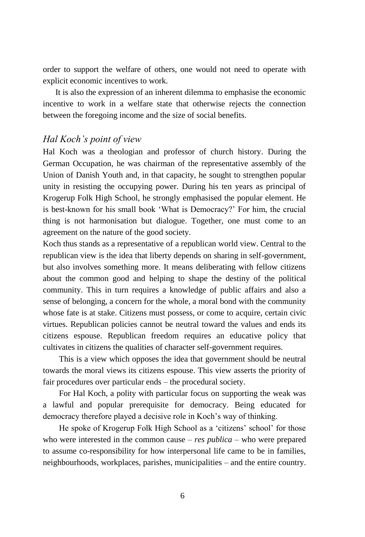order to support the welfare of others, one would not need to operate with explicit economic incentives to work.

It is also the expression of an inherent dilemma to emphasise the economic incentive to work in a welfare state that otherwise rejects the connection between the foregoing income and the size of social benefits.

### *Hal Koch's point of view*

Hal Koch was a theologian and professor of church history. During the German Occupation, he was chairman of the representative assembly of the Union of Danish Youth and, in that capacity, he sought to strengthen popular unity in resisting the occupying power. During his ten years as principal of Krogerup Folk High School, he strongly emphasised the popular element. He is best-known for his small book 'What is Democracy?' For him, the crucial thing is not harmonisation but dialogue. Together, one must come to an agreement on the nature of the good society.

Koch thus stands as a representative of a republican world view. Central to the republican view is the idea that liberty depends on sharing in self-government, but also involves something more. It means deliberating with fellow citizens about the common good and helping to shape the destiny of the political community. This in turn requires a knowledge of public affairs and also a sense of belonging, a concern for the whole, a moral bond with the community whose fate is at stake. Citizens must possess, or come to acquire, certain civic virtues. Republican policies cannot be neutral toward the values and ends its citizens espouse. Republican freedom requires an educative policy that cultivates in citizens the qualities of character self-government requires.

This is a view which opposes the idea that government should be neutral towards the moral views its citizens espouse. This view asserts the priority of fair procedures over particular ends – the procedural society.

For Hal Koch, a polity with particular focus on supporting the weak was a lawful and popular prerequisite for democracy. Being educated for democracy therefore played a decisive role in Koch's way of thinking.

He spoke of Krogerup Folk High School as a 'citizens' school' for those who were interested in the common cause – *res publica* – who were prepared to assume co-responsibility for how interpersonal life came to be in families, neighbourhoods, workplaces, parishes, municipalities – and the entire country.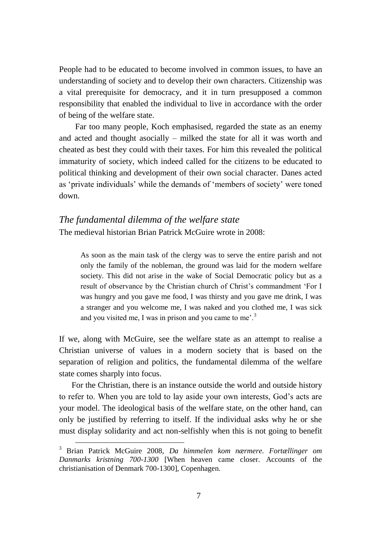People had to be educated to become involved in common issues, to have an understanding of society and to develop their own characters. Citizenship was a vital prerequisite for democracy, and it in turn presupposed a common responsibility that enabled the individual to live in accordance with the order of being of the welfare state.

Far too many people, Koch emphasised, regarded the state as an enemy and acted and thought asocially – milked the state for all it was worth and cheated as best they could with their taxes. For him this revealed the political immaturity of society, which indeed called for the citizens to be educated to political thinking and development of their own social character. Danes acted as 'private individuals' while the demands of 'members of society' were toned down.

# *The fundamental dilemma of the welfare state* The medieval historian Brian Patrick McGuire wrote in 2008:

As soon as the main task of the clergy was to serve the entire parish and not only the family of the nobleman, the ground was laid for the modern welfare society. This did not arise in the wake of Social Democratic policy but as a result of observance by the Christian church of Christ's commandment 'For I was hungry and you gave me food, I was thirsty and you gave me drink, I was a stranger and you welcome me, I was naked and you clothed me, I was sick and you visited me, I was in prison and you came to me'.<sup>3</sup>

If we, along with McGuire, see the welfare state as an attempt to realise a Christian universe of values in a modern society that is based on the separation of religion and politics, the fundamental dilemma of the welfare state comes sharply into focus.

For the Christian, there is an instance outside the world and outside history to refer to. When you are told to lay aside your own interests, God's acts are your model. The ideological basis of the welfare state, on the other hand, can only be justified by referring to itself. If the individual asks why he or she must display solidarity and act non-selfishly when this is not going to benefit

-

<sup>3</sup> Brian Patrick McGuire 2008, *Da himmelen kom nærmere. Fortællinger om Danmarks kristning 700-1300* [When heaven came closer. Accounts of the christianisation of Denmark 700-1300]*,* Copenhagen.